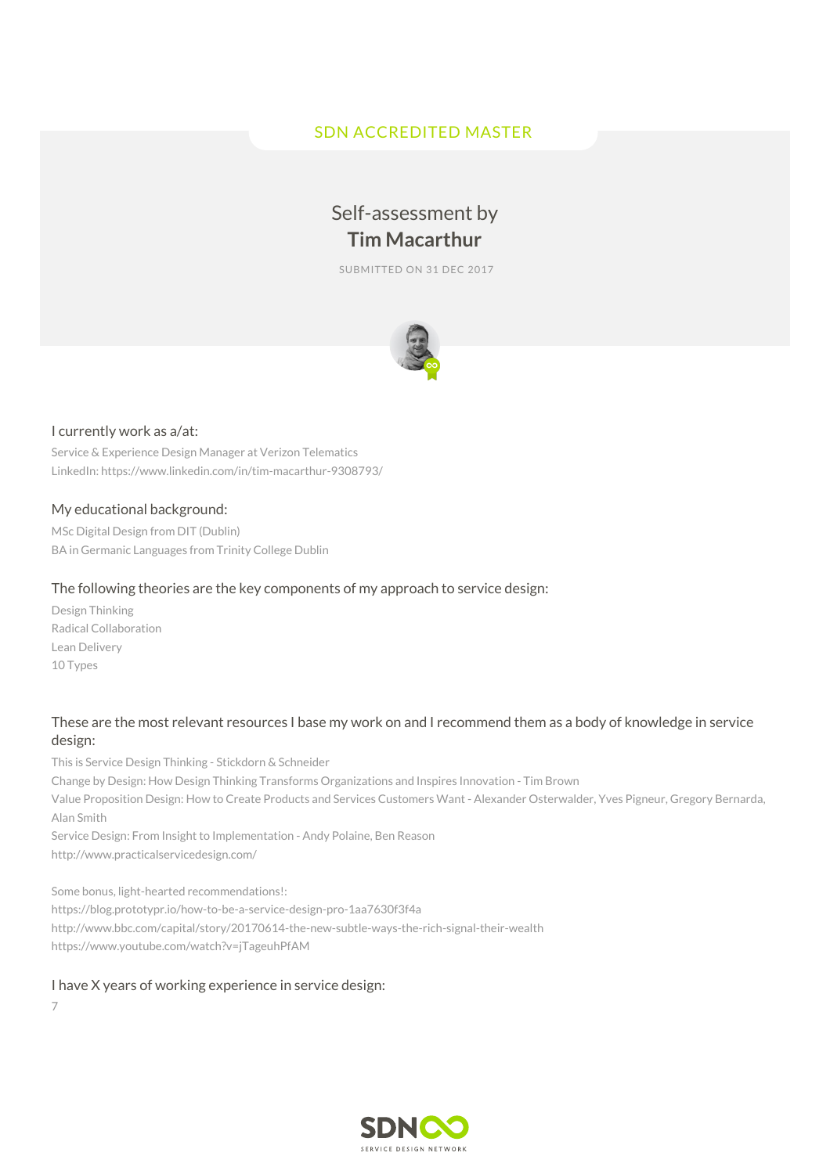# SDN ACCREDITED MASTER

# Self-assessment by **Tim Macarthur**

SUBMITTED ON 31 DEC 2017



## I currently work as a/at:

Service & Experience Design Manager at Verizon Telematics LinkedIn: https://www.linkedin.com/in/tim-macarthur-9308793/

## My educational background:

MSc Digital Design from DIT (Dublin) BA in Germanic Languages from Trinity College Dublin

## The following theories are the key components of my approach to service design:

Design Thinking Radical Collaboration Lean Delivery 10 Types

# These are the most relevant resources I base my work on and I recommend them as a body of knowledge in service design:

This is Service Design Thinking - Stickdorn & Schneider

Change by Design: How Design Thinking Transforms Organizations and Inspires Innovation - Tim Brown Value Proposition Design: How to Create Products and Services Customers Want - Alexander Osterwalder, Yves Pigneur, Gregory Bernarda, Alan Smith

Service Design: From Insight to Implementation - Andy Polaine, Ben Reason http://www.practicalservicedesign.com/

Some bonus, light-hearted recommendations!: https://blog.prototypr.io/how-to-be-a-service-design-pro-1aa7630f3f4a http://www.bbc.com/capital/story/20170614-the-new-subtle-ways-the-rich-signal-their-wealth https://www.youtube.com/watch?v=jTageuhPfAM

#### I have X years of working experience in service design:

7

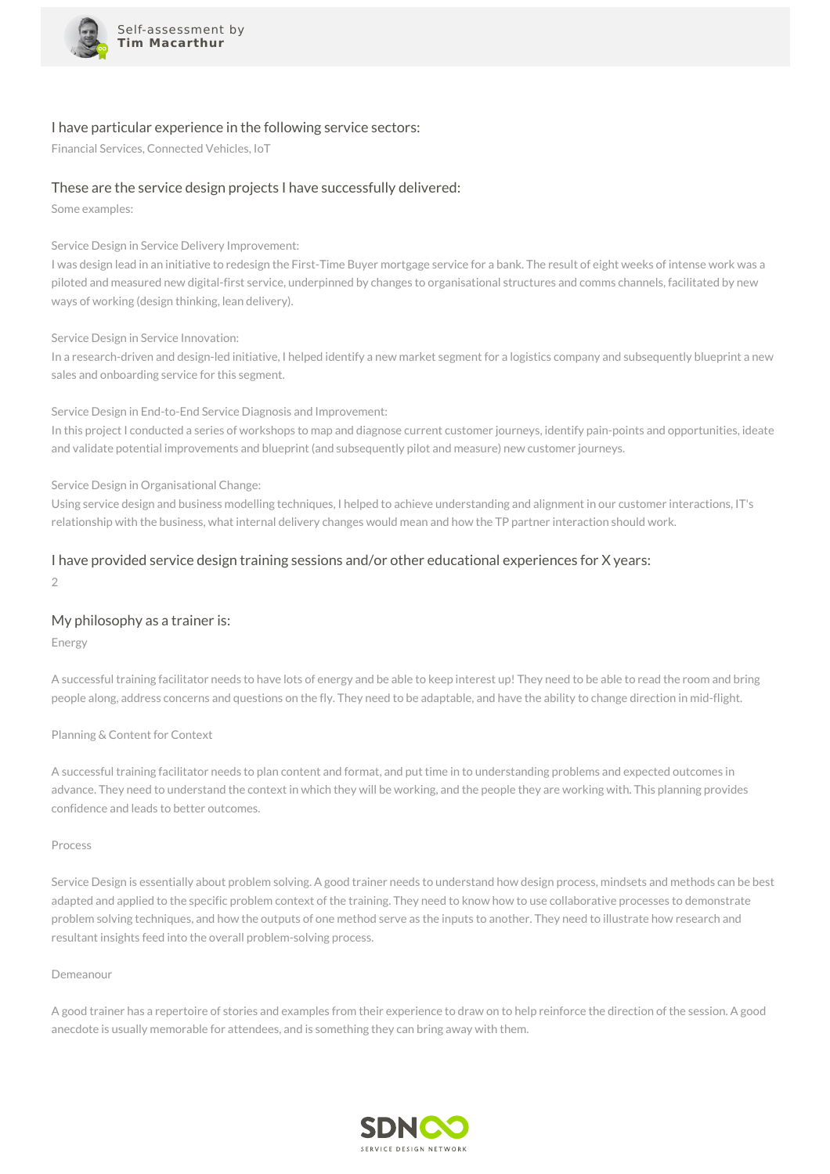

#### I have particular experience in the following service sectors:

Financial Services, Connected Vehicles, IoT

## These are the service design projects I have successfully delivered:

Some examples:

Service Design in Service Delivery Improvement:

I was design lead in an initiative to redesign the First-Time Buyer mortgage service for a bank. The result of eight weeks of intense work was a piloted and measured new digital-first service, underpinned by changes to organisational structures and comms channels, facilitated by new ways of working (design thinking, lean delivery).

Service Design in Service Innovation:

In a research-driven and design-led initiative, I helped identify a new market segment for a logistics company and subsequently blueprint a new sales and onboarding service for this segment.

Service Design in End-to-End Service Diagnosis and Improvement:

In this project I conducted a series of workshops to map and diagnose current customer journeys, identify pain-points and opportunities, ideate and validate potential improvements and blueprint (and subsequently pilot and measure) new customer journeys.

Service Design in Organisational Change:

Using service design and business modelling techniques, I helped to achieve understanding and alignment in our customer interactions, IT's relationship with the business, what internal delivery changes would mean and how the TP partner interaction should work.

# I have provided service design training sessions and/or other educational experiences for X years:

 $\mathcal{D}$ 

#### My philosophy as a trainer is:

Energy

A successful training facilitator needs to have lots of energy and be able to keep interest up! They need to be able to read the room and bring people along, address concerns and questions on the fly. They need to be adaptable, and have the ability to change direction in mid-flight.

Planning & Content for Context

A successful training facilitator needs to plan content and format, and put time in to understanding problems and expected outcomes in advance. They need to understand the context in which they will be working, and the people they are working with. This planning provides confidence and leads to better outcomes.

#### Process

Service Design is essentially about problem solving. A good trainer needs to understand how design process, mindsets and methods can be best adapted and applied to the specific problem context of the training. They need to know how to use collaborative processes to demonstrate problem solving techniques, and how the outputs of one method serve as the inputs to another. They need to illustrate how research and resultant insights feed into the overall problem-solving process.

#### Demeanour

A good trainer has a repertoire of stories and examples from their experience to draw on to help reinforce the direction of the session. A good anecdote is usually memorable for attendees, and is something they can bring away with them.

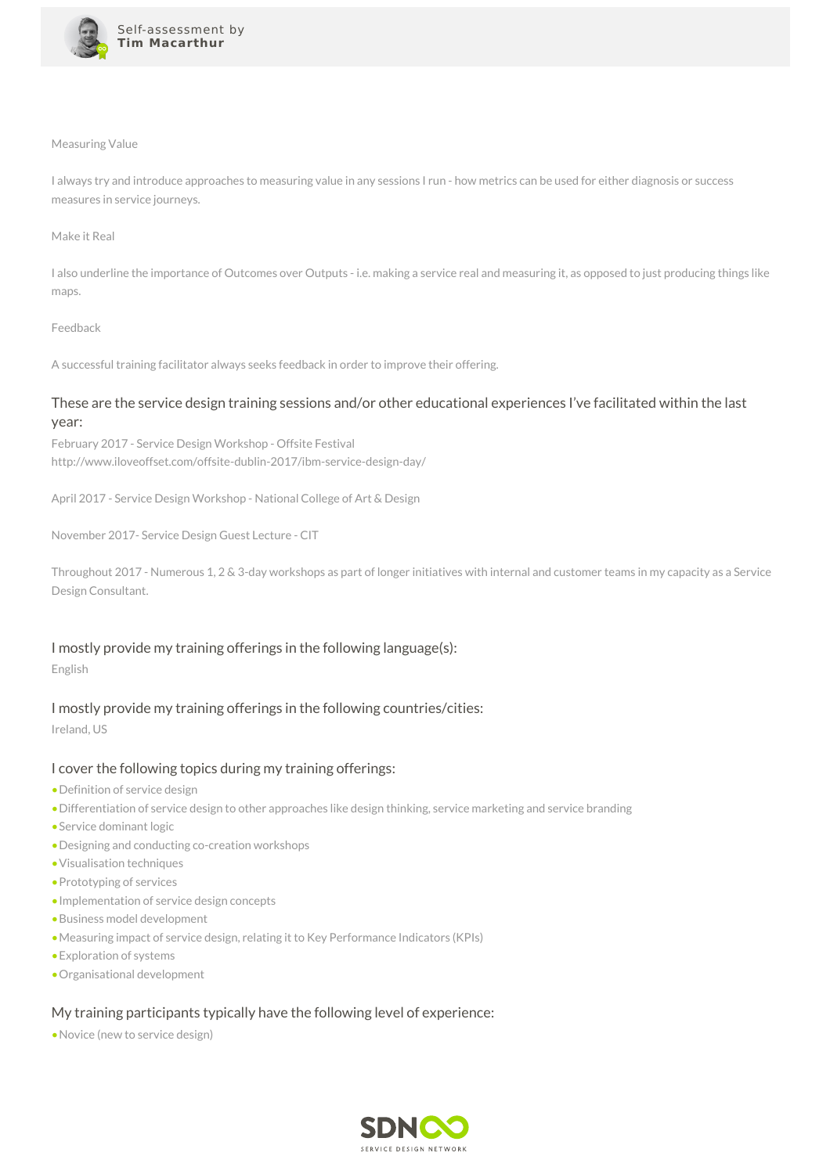

#### Measuring Value

I always try and introduce approaches to measuring value in any sessions I run - how metrics can be used for either diagnosis or success measures in service journeys.

#### Make it Real

I also underline the importance of Outcomes over Outputs - i.e. making a service real and measuring it, as opposed to just producing things like maps.

#### Feedback

A successful training facilitator always seeks feedback in order to improve their offering.

# These are the service design training sessions and/or other educational experiences I've facilitated within the last year:

February 2017 - Service Design Workshop - Offsite Festival http://www.iloveoffset.com/offsite-dublin-2017/ibm-service-design-day/

April 2017 - Service Design Workshop - National College of Art & Design

November 2017- Service Design Guest Lecture - CIT

Throughout 2017 - Numerous 1, 2 & 3-day workshops as part of longer initiatives with internal and customer teams in my capacity as a Service Design Consultant.

#### I mostly provide my training offerings in the following language(s):

English

# I mostly provide my training offerings in the following countries/cities:

Ireland, US

# I cover the following topics during my training offerings:

- •Definition of service design
- •Differentiation of service design to other approaches like design thinking, service marketing and service branding
- •Service dominant logic
- •Designing and conducting co-creation workshops
- •Visualisation techniques
- •Prototyping of services
- •Implementation of service design concepts
- •Business model development
- •Measuring impact of service design, relating it to Key Performance Indicators (KPIs)
- •Exploration of systems
- •Organisational development

# My training participants typically have the following level of experience:

•Novice (new to service design)

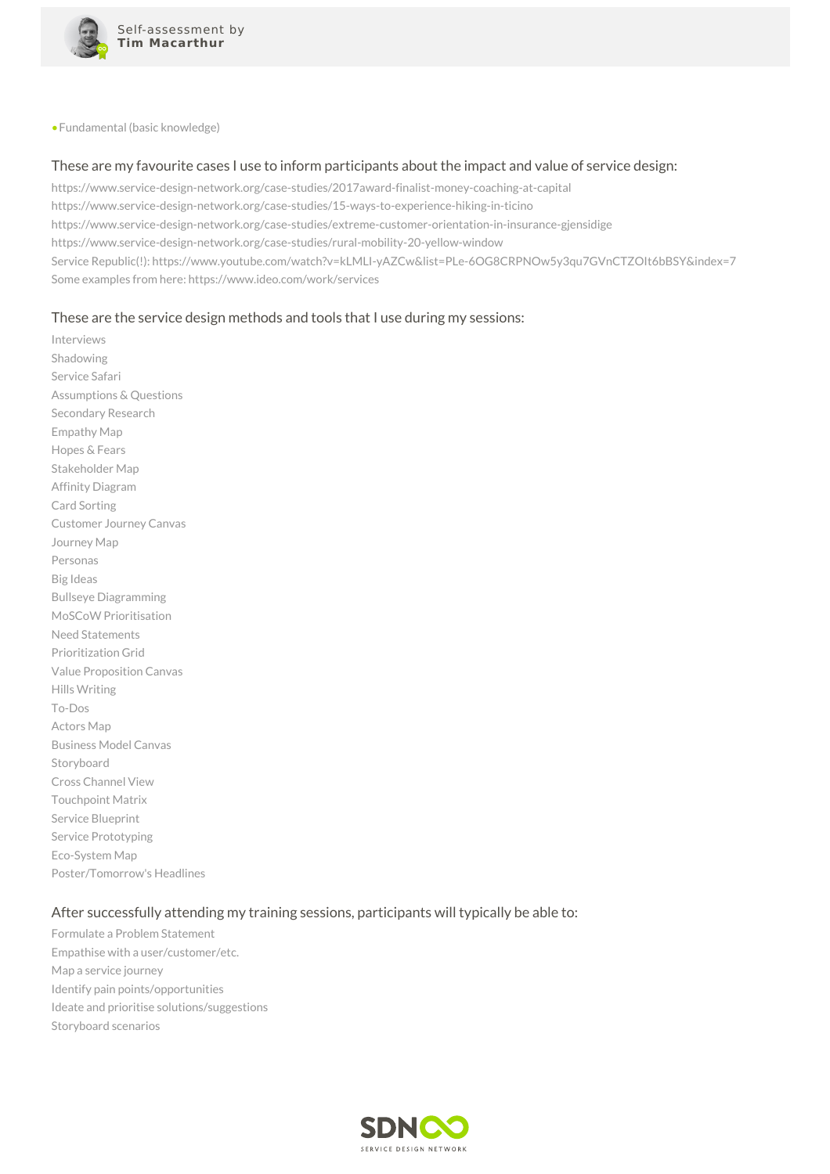

•Fundamental (basic knowledge)

#### These are my favourite cases I use to inform participants about the impact and value of service design:

https://www.service-design-network.org/case-studies/2017award-finalist-money-coaching-at-capital https://www.service-design-network.org/case-studies/15-ways-to-experience-hiking-in-ticino https://www.service-design-network.org/case-studies/extreme-customer-orientation-in-insurance-gjensidige https://www.service-design-network.org/case-studies/rural-mobility-20-yellow-window Service Republic(!): https://www.youtube.com/watch?v=kLMLI-yAZCw&list=PLe-6OG8CRPNOw5y3qu7GVnCTZOIt6bBSY&index=7 Some examples from here: https://www.ideo.com/work/services

## These are the service design methods and tools that I use during my sessions:

Interviews Shadowing Service Safari Assumptions & Questions Secondary Research Empathy Map Hopes & Fears Stakeholder Map Affinity Diagram Card Sorting Customer Journey Canvas Journey Map Personas Big Ideas Bullseye Diagramming MoSCoW Prioritisation Need Statements Prioritization Grid Value Proposition Canvas Hills Writing To-Dos Actors Map Business Model Canvas Storyboard Cross Channel View Touchpoint Matrix Service Blueprint Service Prototyping Eco-System Map Poster/Tomorrow's Headlines

# After successfully attending my training sessions, participants will typically be able to:

Formulate a Problem Statement Empathise with a user/customer/etc. Map a service journey Identify pain points/opportunities Ideate and prioritise solutions/suggestions Storyboard scenarios